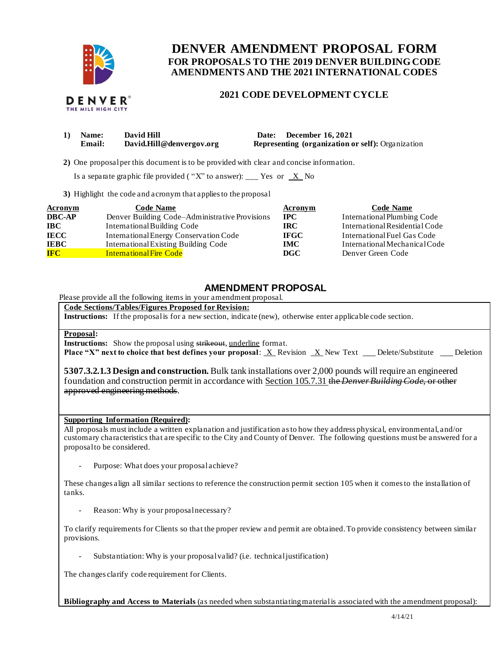

# **FOR PROPOSALS TO THE 2019 DENVER BUILDING CODE DENVER AMENDMENT PROPOSAL FORM AMENDMENTS AND THE 2021 INTERNATIONAL CODES**

## **2021 CODE DEVELOPMENT CYCLE**

| $\bf{1)}$ | <b>Name:</b> | David Hill               | Date: December 16, 2021                                  |
|-----------|--------------|--------------------------|----------------------------------------------------------|
|           | Email:       | David.Hill@denvergov.org | <b>Representing (organization or self):</b> Organization |

**2)** One proposalper this document is to be provided with clear and concise information.

Is a separate graphic file provided ("X" to answer): \_\_\_ Yes or  $X$  No

**3)** Highlight the code and acronym that applies to the proposal

| <b>Acronym</b> | <b>Code Name</b>                               | Acronym     | <b>Code Name</b>               |
|----------------|------------------------------------------------|-------------|--------------------------------|
| <b>DBC-AP</b>  | Denver Building Code–Administrative Provisions | <b>IPC</b>  | International Plumbing Code    |
| <b>IBC</b>     | International Building Code                    | IRC.        | International Residential Code |
| <b>IECC</b>    | International Energy Conservation Code         | <b>IFGC</b> | International Fuel Gas Code    |
| <b>IEBC</b>    | International Existing Building Code           | <b>IMC</b>  | International Mechanical Code  |
| <b>IFC</b>     | <b>International Fire Code</b>                 | <b>DGC</b>  | Denver Green Code              |

## **AMENDMENT PROPOSAL**

Please provide all the following items in your amendment proposal.

#### **Code Sections/Tables/Figures Proposed for Revision:**

**Instructions:** If the proposal is for a new section, indicate (new), otherwise enter applicable code section.

### **Proposal:**

**Instructions:** Show the proposal using strikeout, underline format.

**Place "X" next to choice that best defines your proposal: X Revision X New Text \_ Delete/Substitute \_ Deletion** 

 **5307.3.2.1.3 Design and construction.** Bulk tank installations over 2,000 pounds will require an engineered foundation and construction permit in accordance with Section 105.7.31 the *Denver Building Code,* or other approved engineering methods.

#### **Supporting Information (Required):**

 All proposals must include a written explanation and justification as to how they address physical, environmental, and/or customary characteristics that are specific to the City and County of Denver. The following questions must be answered for a proposal to be considered.

- Purpose: What does your proposal achieve?

 These changes align all similar sections to reference the construction permit section 105 when it comes to the installation of tanks.

- Reason: Why is your proposal necessary?

 To clarify requirements for Clients so that the proper review and permit are obtained. To provide consistency between similar provisions.

- Substantiation: Why is your proposal valid? (i.e. technical justification)

The changes clarify code requirement for Clients.

 **Bibliography and Access to Materials** (as needed when substantiating material is associated with the amendment proposal):